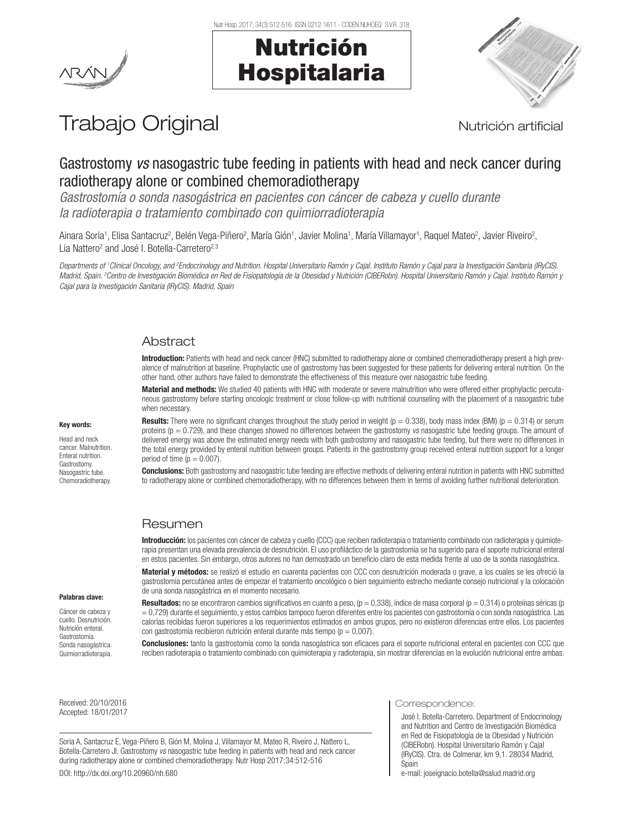Nutr Hosp. 2017; 34(3):512-516 ISSN 0212-1611 - CODEN NUHOEQ S.V.R. 318

# Nutrición Hospitalaria



## Trabajo Original **Nutrición artificial**

## Gastrostomy *vs* nasogastric tube feeding in patients with head and neck cancer during radiotherapy alone or combined chemoradiotherapy

*Gastrostomía o sonda nasogástrica en pacientes con cáncer de cabeza y cuello durante la radioterapia o tratamiento combinado con quimiorradioterapia*

Ainara Soria<sup>1</sup>, Elisa Santacruz<sup>2</sup>, Belén Vega-Piñero<sup>2</sup>, María Gión<sup>1</sup>, Javier Molina<sup>1</sup>, María Villamayor<sup>1</sup>, Raquel Mateo<sup>2</sup>, Javier Riveiro<sup>2</sup>, Lia Nattero<sup>2</sup> and José I. Botella-Carretero<sup>2,3</sup>

Departments of †Clinical Oncology, and <sup>2</sup>Endocrinology and Nutrition. Hospital Universitario Ramón y Cajal. Instituto Ramón y Cajal para la Investigación Sanitaria (IRyCIS). Madrid, Spain. <sup>3</sup>Centro de Investigación Biomédica en Red de Fisiopatología de la Obesidad y Nutrición (CIBERobn). Hospital Universitario Ramón y Cajal. Instituto Ramón y *Cajal para la Investigación Sanitaria (IRyCIS). Madrid, Spain*

## **Abstract**

Introduction: Patients with head and neck cancer (HNC) submitted to radiotherapy alone or combined chemoradiotherapy present a high prevalence of malnutrition at baseline. Prophylactic use of gastrostomy has been suggested for these patients for delivering enteral nutrition. On the other hand, other authors have failed to demonstrate the effectiveness of this measure over nasogastric tube feeding.

Material and methods: We studied 40 patients with HNC with moderate or severe malnutrition who were offered either prophylactic percutaneous gastrostomy before starting oncologic treatment or close follow-up with nutritional counseling with the placement of a nasogastric tube when necessary.

#### Key words:

Head and neck cancer. Malnutrition. Enteral nutrition. Gastrostomy. Nasogastric tube. Chemoradiotherapy. **Results:** There were no significant changes throughout the study period in weight ( $p = 0.338$ ), body mass index (BMI) ( $p = 0.314$ ) or serum proteins (p = 0.729), and these changes showed no differences between the gastrostomy *vs* nasogastric tube feeding groups. The amount of delivered energy was above the estimated energy needs with both gastrostomy and nasogastric tube feeding, but there were no differences in the total energy provided by enteral nutrition between groups. Patients in the gastrostomy group received enteral nutrition support for a longer period of time ( $p = 0.007$ ).

**Conclusions:** Both gastrostomy and nasogastric tube feeding are effective methods of delivering enteral nutrition in patients with HNC submitted to radiotherapy alone or combined chemoradiotherapy, with no differences between them in terms of avoiding further nutritional deterioration.

## Resumen

Introducción: los pacientes con cáncer de cabeza y cuello (CCC) que reciben radioterapia o tratamiento combinado con radioterapia y quimioterapia presentan una elevada prevalencia de desnutrición. El uso profiláctico de la gastrostomía se ha sugerido para el soporte nutricional enteral en estos pacientes. Sin embargo, otros autores no han demostrado un beneficio claro de esta medida frente al uso de la sonda nasogástrica.

Material y métodos: se realizó el estudio en cuarenta pacientes con CCC con desnutrición moderada o grave, a los cuales se les ofreció la gastrostomía percutánea antes de empezar el tratamiento oncológico o bien seguimiento estrecho mediante consejo nutricional y la colocación de una sonda nasogástrica en el momento necesario.

#### Palabras clave:

Cáncer de cabeza y cuello. Desnutrición. Nutrición enteral. Gastrostomía. Sonda nasogástrica. Quimiorradioterapia.

Resultados: no se encontraron cambios significativos en cuanto a peso, (p = 0,338), índice de masa corporal (p = 0,314) o proteínas séricas (p = 0,729) durante el seguimiento, y estos cambios tampoco fueron diferentes entre los pacientes con gastrostomía o con sonda nasogástrica. Las calorías recibidas fueron superiores a los requerimientos estimados en ambos grupos, pero no existieron diferencias entre ellos. Los pacientes con gastrostomía recibieron nutrición enteral durante más tiempo ( $p = 0.007$ ).

Conclusiones: tanto la gastrostomía como la sonda nasogástrica son eficaces para el soporte nutricional enteral en pacientes con CCC que reciben radioterapia o tratamiento combinado con quimioterapia y radioterapia, sin mostrar diferencias en la evolución nutricional entre ambas.

Received: 20/10/2016 Accepted: 18/01/2017

Soria A, Santacruz E, Vega-Piñero B, Gión M, Molina J, Villamayor M, Mateo R, Riveiro J, Nattero L, Botella-Carretero JI. Gastrostomy *vs* nasogastric tube feeding in patients with head and neck cancer during radiotherapy alone or combined chemoradiotherapy. Nutr Hosp 2017;34:512-516 DOI: http://dx.doi.org/10.20960/nh.680

#### Correspondence:

José I. Botella-Carretero. Department of Endocrinology and Nutrition and Centro de Investigación Biomédica en Red de Fisiopatología de la Obesidad y Nutrición (CIBERobn). Hospital Universitario Ramón y Cajal (IRyCIS). Ctra. de Colmenar, km 9,1. 28034 Madrid, Spain

e-mail: joseignacio.botella@salud.madrid.org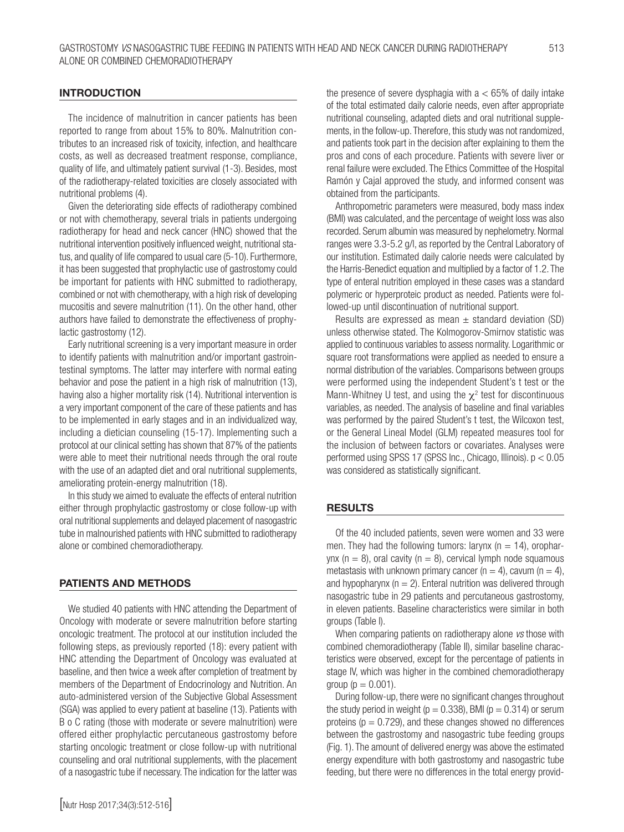#### INTRODUCTION

The incidence of malnutrition in cancer patients has been reported to range from about 15% to 80%. Malnutrition contributes to an increased risk of toxicity, infection, and healthcare costs, as well as decreased treatment response, compliance, quality of life, and ultimately patient survival (1-3). Besides, most of the radiotherapy-related toxicities are closely associated with nutritional problems (4).

Given the deteriorating side effects of radiotherapy combined or not with chemotherapy, several trials in patients undergoing radiotherapy for head and neck cancer (HNC) showed that the nutritional intervention positively influenced weight, nutritional status, and quality of life compared to usual care (5-10). Furthermore, it has been suggested that prophylactic use of gastrostomy could be important for patients with HNC submitted to radiotherapy, combined or not with chemotherapy, with a high risk of developing mucositis and severe malnutrition (11). On the other hand, other authors have failed to demonstrate the effectiveness of prophylactic gastrostomy (12).

Early nutritional screening is a very important measure in order to identify patients with malnutrition and/or important gastrointestinal symptoms. The latter may interfere with normal eating behavior and pose the patient in a high risk of malnutrition (13), having also a higher mortality risk (14). Nutritional intervention is a very important component of the care of these patients and has to be implemented in early stages and in an individualized way, including a dietician counseling (15-17). Implementing such a protocol at our clinical setting has shown that 87% of the patients were able to meet their nutritional needs through the oral route with the use of an adapted diet and oral nutritional supplements, ameliorating protein-energy malnutrition (18).

In this study we aimed to evaluate the effects of enteral nutrition either through prophylactic gastrostomy or close follow-up with oral nutritional supplements and delayed placement of nasogastric tube in malnourished patients with HNC submitted to radiotherapy alone or combined chemoradiotherapy.

### PATIENTS AND METHODS

We studied 40 patients with HNC attending the Department of Oncology with moderate or severe malnutrition before starting oncologic treatment. The protocol at our institution included the following steps, as previously reported (18): every patient with HNC attending the Department of Oncology was evaluated at baseline, and then twice a week after completion of treatment by members of the Department of Endocrinology and Nutrition. An auto-administered version of the Subjective Global Assessment (SGA) was applied to every patient at baseline (13). Patients with B o C rating (those with moderate or severe malnutrition) were offered either prophylactic percutaneous gastrostomy before starting oncologic treatment or close follow-up with nutritional counseling and oral nutritional supplements, with the placement of a nasogastric tube if necessary. The indication for the latter was

[Nutr Hosp 2017;34(3):512-516]

the presence of severe dysphagia with  $a < 65\%$  of daily intake of the total estimated daily calorie needs, even after appropriate nutritional counseling, adapted diets and oral nutritional supplements, in the follow-up. Therefore, this study was not randomized, and patients took part in the decision after explaining to them the pros and cons of each procedure. Patients with severe liver or renal failure were excluded. The Ethics Committee of the Hospital Ramón y Cajal approved the study, and informed consent was obtained from the participants.

Anthropometric parameters were measured, body mass index (BMI) was calculated, and the percentage of weight loss was also recorded. Serum albumin was measured by nephelometry. Normal ranges were 3.3-5.2 g/l, as reported by the Central Laboratory of our institution. Estimated daily calorie needs were calculated by the Harris-Benedict equation and multiplied by a factor of 1.2. The type of enteral nutrition employed in these cases was a standard polymeric or hyperproteic product as needed. Patients were followed-up until discontinuation of nutritional support.

Results are expressed as mean  $\pm$  standard deviation (SD) unless otherwise stated. The Kolmogorov-Smirnov statistic was applied to continuous variables to assess normality. Logarithmic or square root transformations were applied as needed to ensure a normal distribution of the variables. Comparisons between groups were performed using the independent Student's t test or the Mann-Whitney U test, and using the  $\chi^2$  test for discontinuous variables, as needed. The analysis of baseline and final variables was performed by the paired Student's t test, the Wilcoxon test, or the General Lineal Model (GLM) repeated measures tool for the inclusion of between factors or covariates. Analyses were performed using SPSS 17 (SPSS Inc., Chicago, Illinois). p < 0.05 was considered as statistically significant.

#### RESULTS

Of the 40 included patients, seven were women and 33 were men. They had the following tumors: larynx ( $n = 14$ ), oropharynx ( $n = 8$ ), oral cavity ( $n = 8$ ), cervical lymph node squamous metastasis with unknown primary cancer ( $n = 4$ ), cavum ( $n = 4$ ), and hypopharynx ( $n = 2$ ). Enteral nutrition was delivered through nasogastric tube in 29 patients and percutaneous gastrostomy, in eleven patients. Baseline characteristics were similar in both groups (Table I).

When comparing patients on radiotherapy alone *vs* those with combined chemoradiotherapy (Table II), similar baseline characteristics were observed, except for the percentage of patients in stage IV, which was higher in the combined chemoradiotherapy group ( $p = 0.001$ ).

During follow-up, there were no significant changes throughout the study period in weight ( $p = 0.338$ ), BMI ( $p = 0.314$ ) or serum proteins ( $p = 0.729$ ), and these changes showed no differences between the gastrostomy and nasogastric tube feeding groups (Fig. 1). The amount of delivered energy was above the estimated energy expenditure with both gastrostomy and nasogastric tube feeding, but there were no differences in the total energy provid-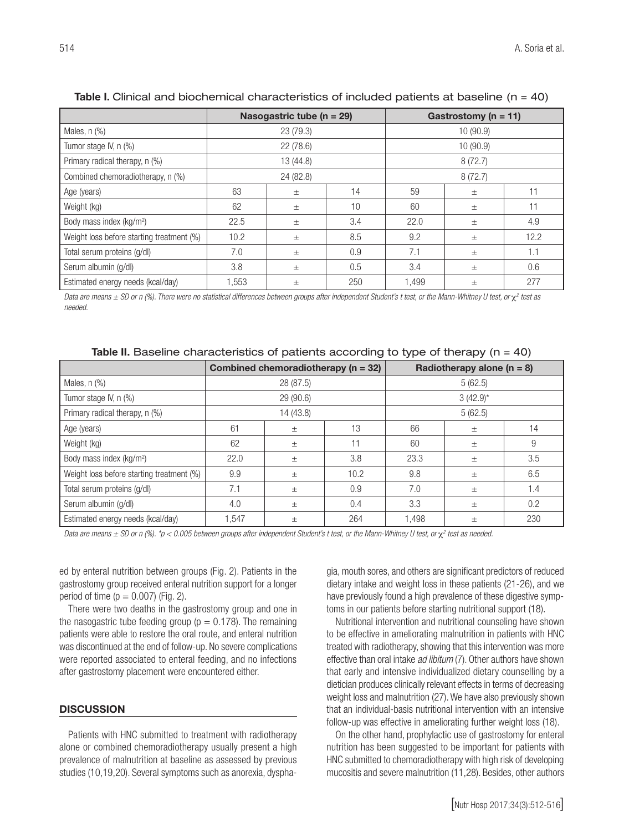|                                           |           | Nasogastric tube ( $n = 29$ ) |     | Gastrostomy ( $n = 11$ ) |       |      |  |
|-------------------------------------------|-----------|-------------------------------|-----|--------------------------|-------|------|--|
| Males, n (%)                              | 23(79.3)  |                               |     | 10(90.9)                 |       |      |  |
| Tumor stage IV, n (%)                     | 22(78.6)  |                               |     | 10 (90.9)                |       |      |  |
| Primary radical therapy, n (%)            | 13 (44.8) |                               |     | 8(72.7)                  |       |      |  |
| Combined chemoradiotherapy, n (%)         | 24 (82.8) |                               |     | 8(72.7)                  |       |      |  |
| Age (years)                               | 63        | $\pm$                         | 14  | 59                       | $\pm$ | 11   |  |
| Weight (kg)                               | 62        | $\pm$                         | 10  | 60                       | $\pm$ | 11   |  |
| Body mass index (kg/m <sup>2</sup> )      | 22.5      | $\pm$                         | 3.4 | 22.0                     | $\pm$ | 4.9  |  |
| Weight loss before starting treatment (%) | 10.2      | $\pm$                         | 8.5 | 9.2                      | $\pm$ | 12.2 |  |
| Total serum proteins (g/dl)               | 7.0       | $\pm$                         | 0.9 | 7.1                      | $\pm$ | 1.1  |  |
| Serum albumin (g/dl)                      | 3.8       | $\pm$                         | 0.5 | 3.4                      | $\pm$ | 0.6  |  |
| Estimated energy needs (kcal/day)         | 1,553     | $\pm$                         | 250 | 1,499                    | $\pm$ | 277  |  |

### Table I. Clinical and biochemical characteristics of included patients at baseline (n = 40)

Data are means ± SD or n (%). There were no statistical differences between groups after independent Student's t test, or the Mann-Whitney U test, or χ2 test as *needed.*

|  | Table II. Baseline characteristics of patients according to type of therapy ( $n = 40$ ) |  |  |  |  |  |  |  |
|--|------------------------------------------------------------------------------------------|--|--|--|--|--|--|--|
|--|------------------------------------------------------------------------------------------|--|--|--|--|--|--|--|

|                                           | Combined chemoradiotherapy ( $n = 32$ ) |       |      | Radiotherapy alone $(n = 8)$ |       |     |  |
|-------------------------------------------|-----------------------------------------|-------|------|------------------------------|-------|-----|--|
| Males, n (%)                              | 28 (87.5)                               |       |      | 5(62.5)                      |       |     |  |
| Tumor stage IV, n (%)                     | 29(90.6)                                |       |      | $3(42.9)$ *                  |       |     |  |
| Primary radical therapy, n (%)            | 14 (43.8)                               |       |      | 5(62.5)                      |       |     |  |
| Age (years)                               | 61                                      | $\pm$ | 13   | 66                           | $\pm$ | 14  |  |
| Weight (kg)                               | 62                                      | $\pm$ | 11   | 60                           | $\pm$ | 9   |  |
| Body mass index (kg/m <sup>2</sup> )      | 22.0                                    | $\pm$ | 3.8  | 23.3                         | $\pm$ | 3.5 |  |
| Weight loss before starting treatment (%) | 9.9                                     | $\pm$ | 10.2 | 9.8                          | $\pm$ | 6.5 |  |
| Total serum proteins (g/dl)               | 7.1                                     | $\pm$ | 0.9  | 7.0                          | $\pm$ | 1.4 |  |
| Serum albumin (g/dl)                      | 4.0                                     | $\pm$ | 0.4  | 3.3                          | $\pm$ | 0.2 |  |
| Estimated energy needs (kcal/day)         | 1.547                                   | $\pm$ | 264  | A98,                         | $\pm$ | 230 |  |

Data are means ± SD or n (%). \*p < 0.005 between groups after independent Student's t test, or the Mann-Whitney U test, or χ<sup>2</sup> test as needed.

ed by enteral nutrition between groups (Fig. 2). Patients in the gastrostomy group received enteral nutrition support for a longer period of time ( $p = 0.007$ ) (Fig. 2).

There were two deaths in the gastrostomy group and one in the nasogastric tube feeding group ( $p = 0.178$ ). The remaining patients were able to restore the oral route, and enteral nutrition was discontinued at the end of follow-up. No severe complications were reported associated to enteral feeding, and no infections after gastrostomy placement were encountered either.

#### **DISCUSSION**

Patients with HNC submitted to treatment with radiotherapy alone or combined chemoradiotherapy usually present a high prevalence of malnutrition at baseline as assessed by previous studies (10,19,20). Several symptoms such as anorexia, dysphagia, mouth sores, and others are significant predictors of reduced dietary intake and weight loss in these patients (21-26), and we have previously found a high prevalence of these digestive symptoms in our patients before starting nutritional support (18).

Nutritional intervention and nutritional counseling have shown to be effective in ameliorating malnutrition in patients with HNC treated with radiotherapy, showing that this intervention was more effective than oral intake *ad libitum* (7). Other authors have shown that early and intensive individualized dietary counselling by a dietician produces clinically relevant effects in terms of decreasing weight loss and malnutrition (27). We have also previously shown that an individual-basis nutritional intervention with an intensive follow-up was effective in ameliorating further weight loss (18).

On the other hand, prophylactic use of gastrostomy for enteral nutrition has been suggested to be important for patients with HNC submitted to chemoradiotherapy with high risk of developing mucositis and severe malnutrition (11,28). Besides, other authors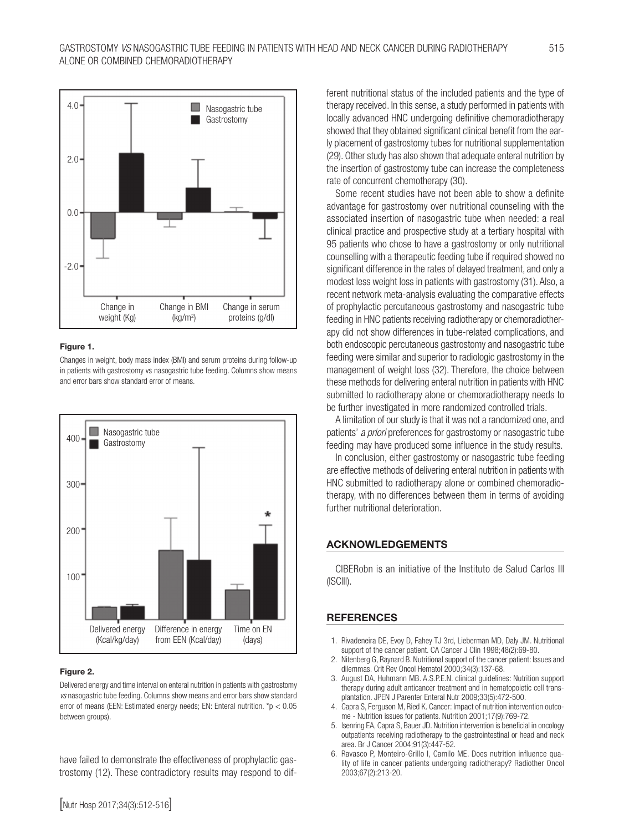

#### Figure 1.

Changes in weight, body mass index (BMI) and serum proteins during follow-up in patients with gastrostomy vs nasogastric tube feeding. Columns show means and error bars show standard error of means.



#### Figure 2.

Delivered energy and time interval on enteral nutrition in patients with gastrostomy *vs* nasogastric tube feeding. Columns show means and error bars show standard error of means (EEN: Estimated energy needs; EN: Enteral nutrition. \*p < 0.05 between groups).

have failed to demonstrate the effectiveness of prophylactic gastrostomy (12). These contradictory results may respond to different nutritional status of the included patients and the type of therapy received. In this sense, a study performed in patients with locally advanced HNC undergoing definitive chemoradiotherapy showed that they obtained significant clinical benefit from the early placement of gastrostomy tubes for nutritional supplementation (29). Other study has also shown that adequate enteral nutrition by the insertion of gastrostomy tube can increase the completeness rate of concurrent chemotherapy (30).

Some recent studies have not been able to show a definite advantage for gastrostomy over nutritional counseling with the associated insertion of nasogastric tube when needed: a real clinical practice and prospective study at a tertiary hospital with 95 patients who chose to have a gastrostomy or only nutritional counselling with a therapeutic feeding tube if required showed no significant difference in the rates of delayed treatment, and only a modest less weight loss in patients with gastrostomy (31). Also, a recent network meta-analysis evaluating the comparative effects of prophylactic percutaneous gastrostomy and nasogastric tube feeding in HNC patients receiving radiotherapy or chemoradiotherapy did not show differences in tube-related complications, and both endoscopic percutaneous gastrostomy and nasogastric tube feeding were similar and superior to radiologic gastrostomy in the management of weight loss (32). Therefore, the choice between these methods for delivering enteral nutrition in patients with HNC submitted to radiotherapy alone or chemoradiotherapy needs to be further investigated in more randomized controlled trials.

A limitation of our study is that it was not a randomized one, and patients' *a priori* preferences for gastrostomy or nasogastric tube feeding may have produced some influence in the study results.

In conclusion, either gastrostomy or nasogastric tube feeding are effective methods of delivering enteral nutrition in patients with HNC submitted to radiotherapy alone or combined chemoradiotherapy, with no differences between them in terms of avoiding further nutritional deterioration.

#### ACKNOWLEDGEMENTS

CIBERobn is an initiative of the Instituto de Salud Carlos III (ISCIII).

#### **REFERENCES**

- 1. Rivadeneira DE, Evoy D, Fahey TJ 3rd, Lieberman MD, Daly JM. Nutritional support of the cancer patient. CA Cancer J Clin 1998;48(2):69-80.
- 2. Nitenberg G, Raynard B. Nutritional support of the cancer patient: Issues and dilemmas. Crit Rev Oncol Hematol 2000;34(3):137-68.
- 3. August DA, Huhmann MB. A.S.P.E.N. clinical guidelines: Nutrition support therapy during adult anticancer treatment and in hematopoietic cell transplantation. JPEN J Parenter Enteral Nutr 2009;33(5):472-500.
- 4. Capra S, Ferguson M, Ried K. Cancer: Impact of nutrition intervention outcome - Nutrition issues for patients. Nutrition 2001;17(9):769-72.
- 5. Isenring EA, Capra S, Bauer JD. Nutrition intervention is beneficial in oncology outpatients receiving radiotherapy to the gastrointestinal or head and neck area. Br J Cancer 2004;91(3):447-52.
- 6. Ravasco P, Monteiro-Grillo I, Camilo ME. Does nutrition influence quality of life in cancer patients undergoing radiotherapy? Radiother Oncol 2003;67(2):213-20.